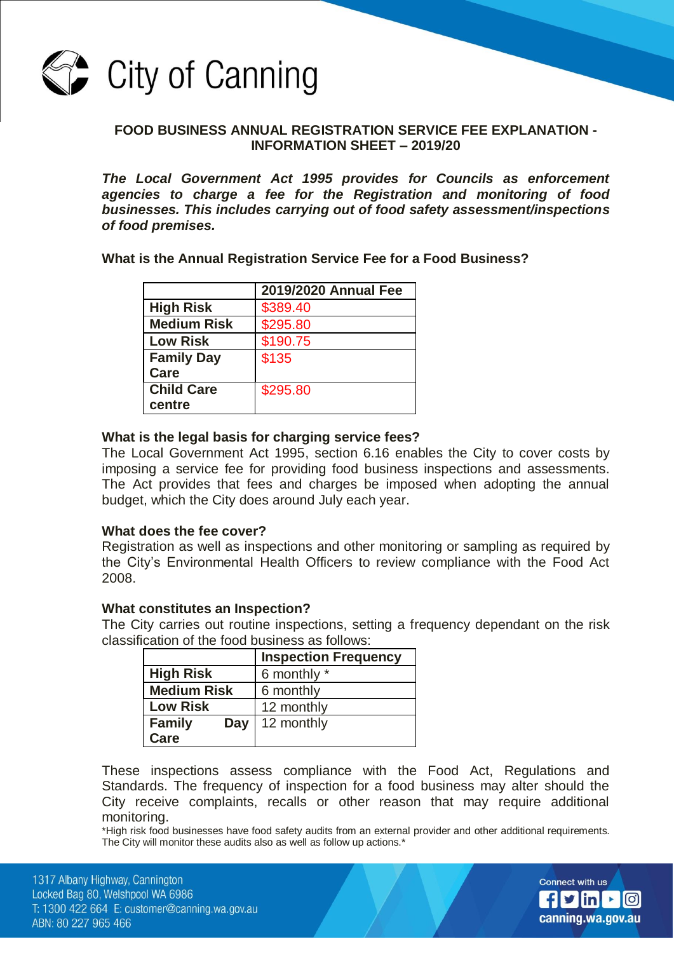

# **FOOD BUSINESS ANNUAL REGISTRATION SERVICE FEE EXPLANATION - INFORMATION SHEET – 2019/20**

*The Local Government Act 1995 provides for Councils as enforcement agencies to charge a fee for the Registration and monitoring of food businesses. This includes carrying out of food safety assessment/inspections of food premises.*

**What is the Annual Registration Service Fee for a Food Business?**

|                    | 2019/2020 Annual Fee |
|--------------------|----------------------|
| <b>High Risk</b>   | \$389.40             |
| <b>Medium Risk</b> | \$295.80             |
| <b>Low Risk</b>    | \$190.75             |
| <b>Family Day</b>  | \$135                |
| Care               |                      |
| <b>Child Care</b>  | \$295.80             |
| centre             |                      |

#### **What is the legal basis for charging service fees?**

The Local Government Act 1995, section 6.16 enables the City to cover costs by imposing a service fee for providing food business inspections and assessments. The Act provides that fees and charges be imposed when adopting the annual budget, which the City does around July each year.

## **What does the fee cover?**

Registration as well as inspections and other monitoring or sampling as required by the City's Environmental Health Officers to review compliance with the Food Act 2008.

#### **What constitutes an Inspection?**

The City carries out routine inspections, setting a frequency dependant on the risk classification of the food business as follows:

|                      | <b>Inspection Frequency</b> |
|----------------------|-----------------------------|
| <b>High Risk</b>     | 6 monthly *                 |
| <b>Medium Risk</b>   | 6 monthly                   |
| <b>Low Risk</b>      | 12 monthly                  |
| <b>Family</b><br>Day | 12 monthly                  |
| Care                 |                             |

These inspections assess compliance with the Food Act, Regulations and Standards. The frequency of inspection for a food business may alter should the City receive complaints, recalls or other reason that may require additional monitoring.

\*High risk food businesses have food safety audits from an external provider and other additional requirements. The City will monitor these audits also as well as follow up actions.\*

1317 Albany Highway, Cannington Locked Bag 80, Welshpool WA 6986 T: 1300 422 664 E: customer@canning.wa.gov.au ABN: 80 227 965 466

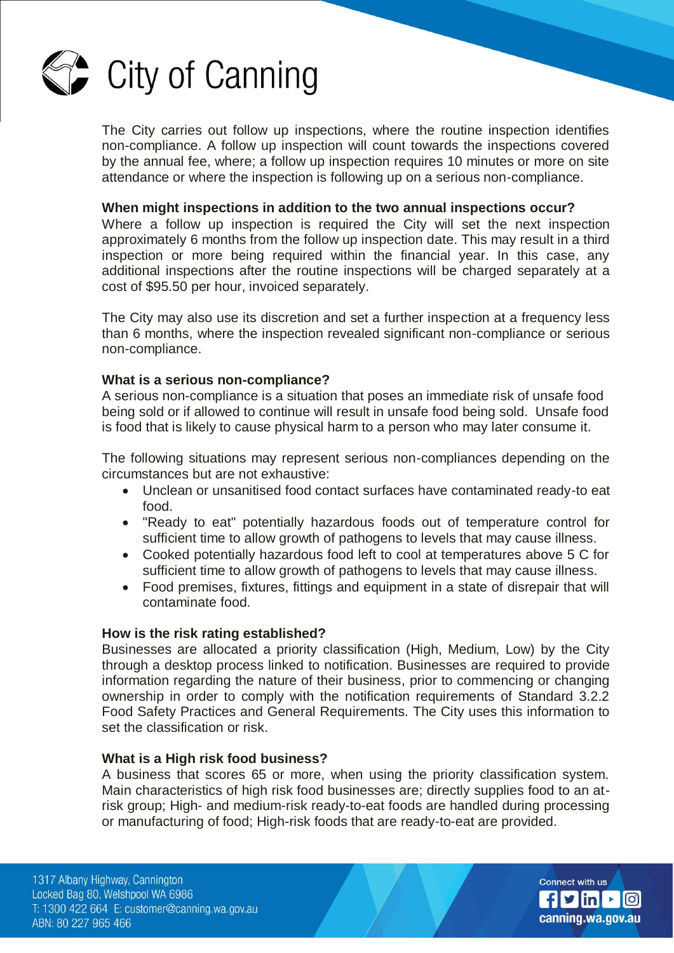

The City carries out follow up inspections, where the routine inspection identifies non-compliance. A follow up inspection will count towards the inspections covered by the annual fee, where; a follow up inspection requires 10 minutes or more on site attendance or where the inspection is following up on a serious non-compliance.

### **When might inspections in addition to the two annual inspections occur?**

Where a follow up inspection is required the City will set the next inspection approximately 6 months from the follow up inspection date. This may result in a third inspection or more being required within the financial year. In this case, any additional inspections after the routine inspections will be charged separately at a cost of \$95.50 per hour, invoiced separately.

The City may also use its discretion and set a further inspection at a frequency less than 6 months, where the inspection revealed significant non-compliance or serious non-compliance.

#### **What is a serious non-compliance?**

A serious non-compliance is a situation that poses an immediate risk of unsafe food being sold or if allowed to continue will result in unsafe food being sold. Unsafe food is food that is likely to cause physical harm to a person who may later consume it.

The following situations may represent serious non-compliances depending on the circumstances but are not exhaustive:

- Unclean or unsanitised food contact surfaces have contaminated ready-to eat food.
- "Ready to eat" potentially hazardous foods out of temperature control for sufficient time to allow growth of pathogens to levels that may cause illness.
- Cooked potentially hazardous food left to cool at temperatures above 5 C for sufficient time to allow growth of pathogens to levels that may cause illness.
- Food premises, fixtures, fittings and equipment in a state of disrepair that will contaminate food.

#### **How is the risk rating established?**

Businesses are allocated a priority classification (High, Medium, Low) by the City through a desktop process linked to notification. Businesses are required to provide information regarding the nature of their business, prior to commencing or changing ownership in order to comply with the notification requirements of Standard 3.2.2 Food Safety Practices and General Requirements. The City uses this information to set the classification or risk.

#### **What is a High risk food business?**

A business that scores 65 or more, when using the priority classification system. Main characteristics of high risk food businesses are; directly supplies food to an atrisk group; High- and medium-risk ready-to-eat foods are handled during processing or manufacturing of food; High-risk foods that are ready-to-eat are provided.